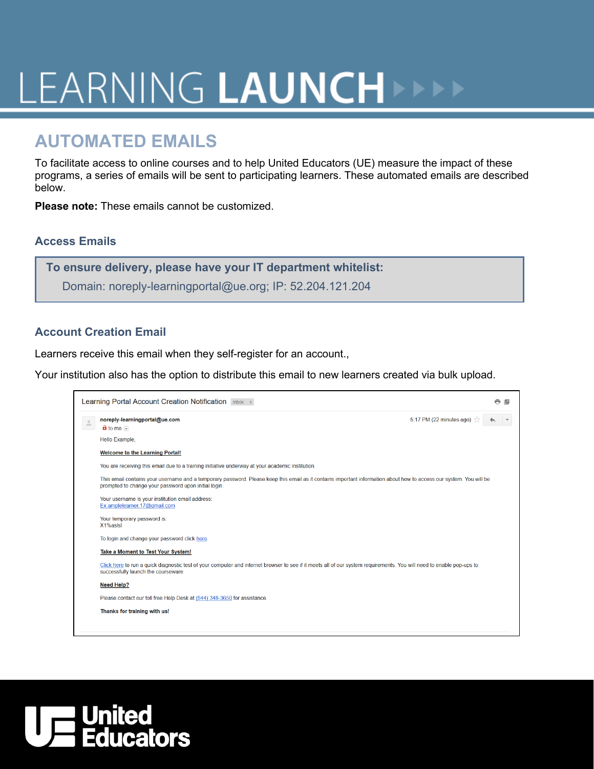# LEARNING LAUNCH

## **AUTOMATED EMAILS**

To facilitate access to online courses and to help United Educators (UE) measure the impact of these programs, a series of emails will be sent to participating learners. These automated emails are described below.

**Please note:** These emails cannot be customized.

### **Access Emails**

**To ensure delivery, please have your IT department whitelist:**

Domain: noreply-learningportal@ue.org; IP: 52.204.121.204

### **Account Creation Email**

Learners receive this email when they self-register for an account.,

Your institution also has the option to distribute this email to new learners created via bulk upload.



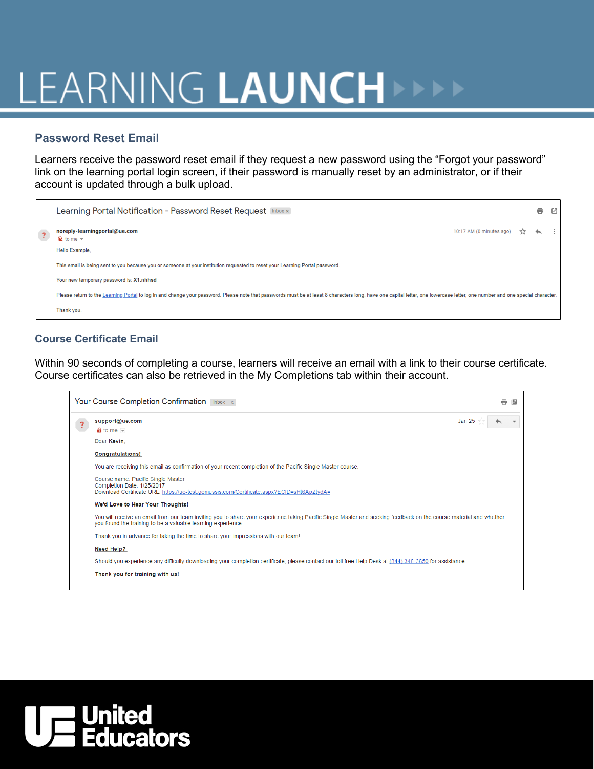# LEARNING LAUNCH

### **Password Reset Email**

Learners receive the password reset email if they request a new password using the "Forgot your password" link on the learning portal login screen, if their password is manually reset by an administrator, or if their account is updated through a bulk upload.



### **Course Certificate Email**

Within 90 seconds of completing a course, learners will receive an email with a link to their course certificate. Course certificates can also be retrieved in the My Completions tab within their account.